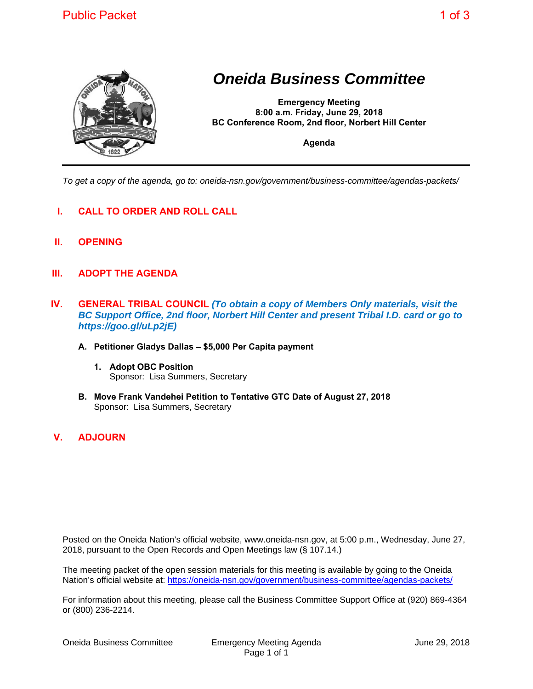

## *Oneida Business Committee*

**Emergency Meeting 8:00 a.m. Friday, June 29, 2018 BC Conference Room, 2nd floor, Norbert Hill Center** 

**Agenda** 

*To get a copy of the agenda, go to: oneida-nsn.gov/government/business-committee/agendas-packets/* 

- **I. CALL TO ORDER AND ROLL CALL**
- **II. OPENING**
- **III. ADOPT THE AGENDA**
- **IV. GENERAL TRIBAL COUNCIL** *(To obtain a copy of Members Only materials, visit the BC Support Office, 2nd floor, Norbert Hill Center and present Tribal I.D. card or go to https://goo.gl/uLp2jE)*
	- **A. Petitioner Gladys Dallas \$5,000 Per Capita payment**
		- **1. Adopt OBC Position**  Sponsor: Lisa Summers, Secretary
	- **B. Move Frank Vandehei Petition to Tentative GTC Date of August 27, 2018**  Sponsor: Lisa Summers, Secretary
- **V. ADJOURN**

Posted on the Oneida Nation's official website, www.oneida-nsn.gov, at 5:00 p.m., Wednesday, June 27, 2018, pursuant to the Open Records and Open Meetings law (§ 107.14.)

The meeting packet of the open session materials for this meeting is available by going to the Oneida Nation's official website at: https://oneida-nsn.gov/government/business-committee/agendas-packets/

For information about this meeting, please call the Business Committee Support Office at (920) 869-4364 or (800) 236-2214.